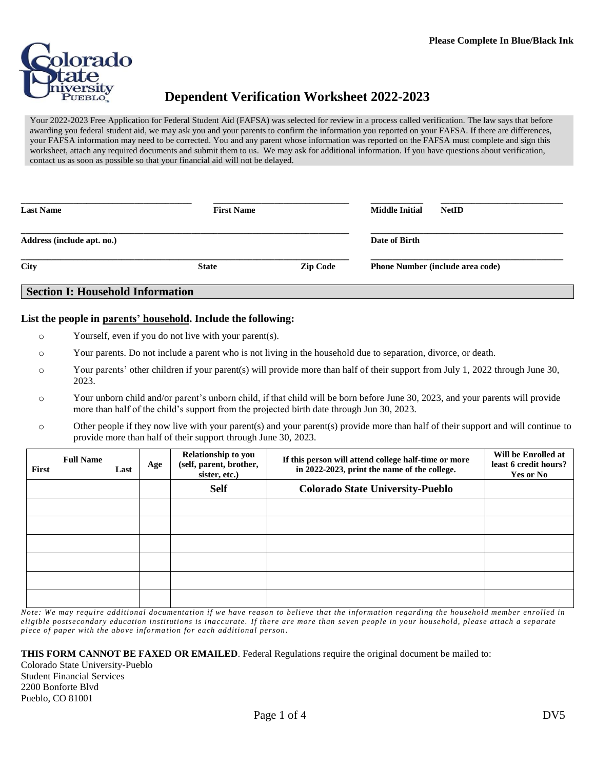

## **Dependent Verification Worksheet 2022-2023**

Your 2022-2023 Free Application for Federal Student Aid (FAFSA) was selected for review in a process called verification. The law says that before awarding you federal student aid, we may ask you and your parents to confirm the information you reported on your FAFSA. If there are differences, your FAFSA information may need to be corrected. You and any parent whose information was reported on the FAFSA must complete and sign this worksheet, attach any required documents and submit them to us. We may ask for additional information. If you have questions about verification, contact us as soon as possible so that your financial aid will not be delayed.

| <b>Last Name</b>                        | <b>First Name</b> |                 | <b>Middle Initial</b><br><b>NetID</b>   |  |
|-----------------------------------------|-------------------|-----------------|-----------------------------------------|--|
| Address (include apt. no.)              |                   |                 | Date of Birth                           |  |
| City                                    | <b>State</b>      | <b>Zip Code</b> | <b>Phone Number (include area code)</b> |  |
| <b>Section I: Household Information</b> |                   |                 |                                         |  |

## **List the people in parents' household. Include the following:**

- o Yourself, even if you do not live with your parent(s).
- o Your parents. Do not include a parent who is not living in the household due to separation, divorce, or death.
- o Your parents' other children if your parent(s) will provide more than half of their support from July 1, 2022 through June 30, 2023.
- o Your unborn child and/or parent's unborn child, if that child will be born before June 30, 2023, and your parents will provide more than half of the child's support from the projected birth date through Jun 30, 2023.
- o Other people if they now live with your parent(s) and your parent(s) provide more than half of their support and will continue to provide more than half of their support through June 30, 2023.

| First | <b>Full Name</b> | Last | Age | Relationship to you<br>(self, parent, brother,<br>sister, etc.) | If this person will attend college half-time or more<br>in 2022-2023, print the name of the college. | Will be Enrolled at<br>least 6 credit hours?<br>Yes or No |
|-------|------------------|------|-----|-----------------------------------------------------------------|------------------------------------------------------------------------------------------------------|-----------------------------------------------------------|
|       |                  |      |     | <b>Self</b>                                                     | <b>Colorado State University-Pueblo</b>                                                              |                                                           |
|       |                  |      |     |                                                                 |                                                                                                      |                                                           |
|       |                  |      |     |                                                                 |                                                                                                      |                                                           |
|       |                  |      |     |                                                                 |                                                                                                      |                                                           |
|       |                  |      |     |                                                                 |                                                                                                      |                                                           |
|       |                  |      |     |                                                                 |                                                                                                      |                                                           |
|       |                  |      |     |                                                                 |                                                                                                      |                                                           |

*Note: We may require additional documentation if we have reason to believe that the information regarding the household member enrolled in eligible postsecondary education institutions is inaccurate. If there are more than seven people in your household, please attach a separate piece of paper with the above informa tion for each additional person .*

**THIS FORM CANNOT BE FAXED OR EMAILED**. Federal Regulations require the original document be mailed to:

Colorado State University-Pueblo Student Financial Services 2200 Bonforte Blvd Pueblo, CO 81001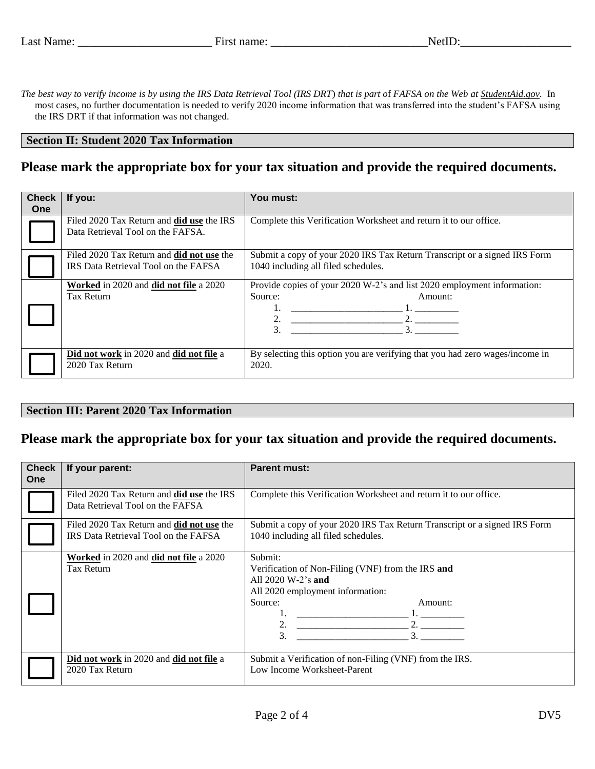*The best way to verify income is by using the IRS Data Retrieval Tool (IRS DRT*) *that is part o*f *FAFSA on the Web at StudentAid.gov.* In most cases, no further documentation is needed to verify 2020 income information that was transferred into the student's FAFSA using the IRS DRT if that information was not changed.

#### **Section II: Student 2020 Tax Information**

## **Please mark the appropriate box for your tax situation and provide the required documents.**

| <b>Check</b><br><b>One</b> | If you:                                                                                  | You must:                                                                                                                   |  |  |
|----------------------------|------------------------------------------------------------------------------------------|-----------------------------------------------------------------------------------------------------------------------------|--|--|
|                            | Filed 2020 Tax Return and <b>did use</b> the IRS<br>Data Retrieval Tool on the FAFSA.    | Complete this Verification Worksheet and return it to our office.                                                           |  |  |
|                            | Filed 2020 Tax Return and <b>did not use</b> the<br>IRS Data Retrieval Tool on the FAFSA | Submit a copy of your 2020 IRS Tax Return Transcript or a signed IRS Form<br>1040 including all filed schedules.            |  |  |
|                            | Worked in 2020 and did not file a 2020<br>Tax Return                                     | Provide copies of your 2020 W-2's and list 2020 employment information:<br>Source:<br>Amount:<br>2.<br>3.<br>3 <sub>1</sub> |  |  |
|                            | Did not work in 2020 and did not file a<br>2020 Tax Return                               | By selecting this option you are verifying that you had zero wages/income in<br>2020.                                       |  |  |

#### **Section III: Parent 2020 Tax Information**

## **Please mark the appropriate box for your tax situation and provide the required documents.**

| <b>Check</b><br><b>One</b> | If your parent:                                                                          | <b>Parent must:</b>                                                                                                                                                 |  |  |
|----------------------------|------------------------------------------------------------------------------------------|---------------------------------------------------------------------------------------------------------------------------------------------------------------------|--|--|
|                            | Filed 2020 Tax Return and <b>did use</b> the IRS<br>Data Retrieval Tool on the FAFSA     | Complete this Verification Worksheet and return it to our office.                                                                                                   |  |  |
|                            | Filed 2020 Tax Return and <b>did not use</b> the<br>IRS Data Retrieval Tool on the FAFSA | Submit a copy of your 2020 IRS Tax Return Transcript or a signed IRS Form<br>1040 including all filed schedules.                                                    |  |  |
|                            | Worked in 2020 and did not file a 2020<br>Tax Return                                     | Submit:<br>Verification of Non-Filing (VNF) from the IRS and<br>All $2020 \text{ W-}2$ 's and<br>All 2020 employment information:<br>Source:<br>Amount:<br>2.<br>3. |  |  |
|                            | Did not work in 2020 and did not file a<br>2020 Tax Return                               | Submit a Verification of non-Filing (VNF) from the IRS.<br>Low Income Worksheet-Parent                                                                              |  |  |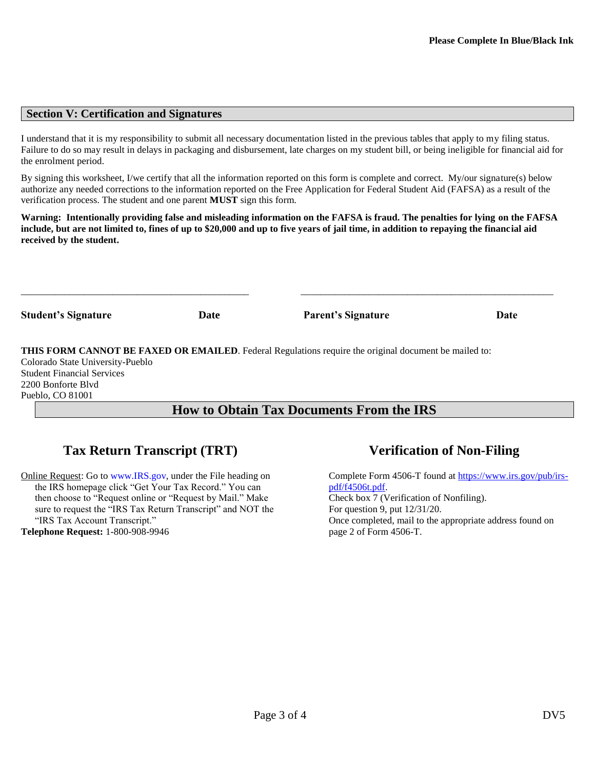## **Section V: Certification and Signatures**

I understand that it is my responsibility to submit all necessary documentation listed in the previous tables that apply to my filing status. Failure to do so may result in delays in packaging and disbursement, late charges on my student bill, or being ineligible for financial aid for the enrolment period.

By signing this worksheet, I/we certify that all the information reported on this form is complete and correct. My/our signature(s) below authorize any needed corrections to the information reported on the Free Application for Federal Student Aid (FAFSA) as a result of the verification process. The student and one parent **MUST** sign this form.

**Warning: Intentionally providing false and misleading information on the FAFSA is fraud. The penalties for lying on the FAFSA include, but are not limited to, fines of up to \$20,000 and up to five years of jail time, in addition to repaying the financial aid received by the student.**

| <b>Student's Signature</b> | Date |      | <b>Parent's Signature</b> | Date |
|----------------------------|------|------|---------------------------|------|
|                            |      | $ -$ | .<br>.                    | .    |

**THIS FORM CANNOT BE FAXED OR EMAILED**. Federal Regulations require the original document be mailed to:

Colorado State University-Pueblo Student Financial Services 2200 Bonforte Blvd Pueblo, CO 81001

## **How to Obtain Tax Documents From the IRS**

# **Tax Return Transcript (TRT) Verification of Non-Filing**

Online Request: Go to [www.IRS.gov,](http://www.irs.gov/) under the File heading on the IRS homepage click "Get Your Tax Record." You can then choose to "Request online or "Request by Mail." Make sure to request the "IRS Tax Return Transcript" and NOT the "IRS Tax Account Transcript." **Telephone Request:** 1-800-908-9946

Complete Form 4506-T found at [https://www.irs.gov/pub/irs](https://www.irs.gov/pub/irs-pdf/f4506t.pdf)[pdf/f4506t.pdf.](https://www.irs.gov/pub/irs-pdf/f4506t.pdf) Check box 7 (Verification of Nonfiling). For question 9, put 12/31/20. Once completed, mail to the appropriate address found on page 2 of Form 4506-T.